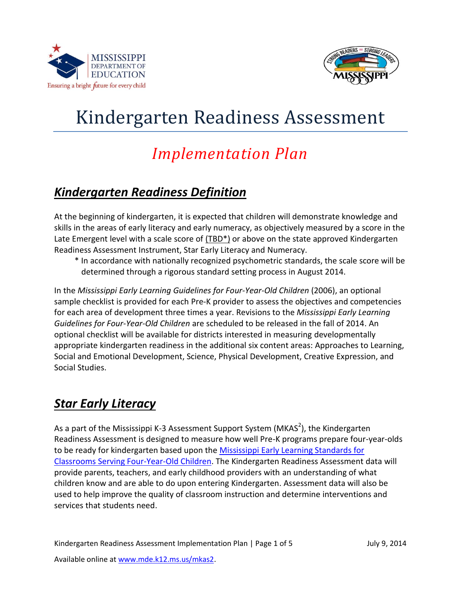



# Kindergarten Readiness Assessment

## *Implementation Plan*

### *Kindergarten Readiness Definition*

At the beginning of kindergarten, it is expected that children will demonstrate knowledge and skills in the areas of early literacy and early numeracy, as objectively measured by a score in the Late Emergent level with a scale score of (TBD\*) or above on the state approved Kindergarten Readiness Assessment Instrument, Star Early Literacy and Numeracy.

\* In accordance with nationally recognized psychometric standards, the scale score will be determined through a rigorous standard setting process in August 2014.

In the *Mississippi Early Learning Guidelines for Four-Year-Old Children* (2006), an optional sample checklist is provided for each Pre-K provider to assess the objectives and competencies for each area of development three times a year. Revisions to the *Mississippi Early Learning Guidelines for Four-Year-Old Children* are scheduled to be released in the fall of 2014. An optional checklist will be available for districts interested in measuring developmentally appropriate kindergarten readiness in the additional six content areas: Approaches to Learning, Social and Emotional Development, Science, Physical Development, Creative Expression, and Social Studies.

### *Star Early Literacy*

As a part of the Mississippi K-3 Assessment Support System (MKAS<sup>2</sup>), the Kindergarten Readiness Assessment is designed to measure how well Pre-K programs prepare four-year-olds to be ready for kindergarten based upon the Mississippi Early Learning Standards for [Classrooms Serving Four-Year-Old Children.](https://districtaccess.mde.k12.ms.us/curriculumandInstruction/EarlyChildhood/4-year-old-standards.pdf) The Kindergarten Readiness Assessment data will provide parents, teachers, and early childhood providers with an understanding of what children know and are able to do upon entering Kindergarten. Assessment data will also be used to help improve the quality of classroom instruction and determine interventions and services that students need.

Kindergarten Readiness Assessment Implementation Plan | Page 1 of 5 July 9, 2014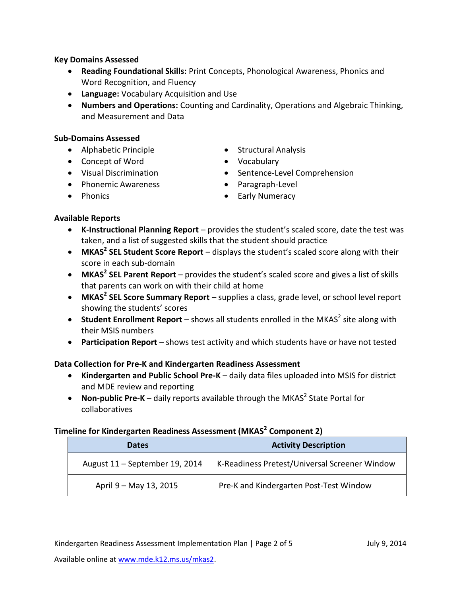#### **Key Domains Assessed**

- **Reading Foundational Skills:** Print Concepts, Phonological Awareness, Phonics and Word Recognition, and Fluency
- **Language:** Vocabulary Acquisition and Use
- **Numbers and Operations:** Counting and Cardinality, Operations and Algebraic Thinking, and Measurement and Data

#### **Sub-Domains Assessed**

- Alphabetic Principle
- Concept of Word
- Visual Discrimination
- Phonemic Awareness
- Phonics
- Structural Analysis
- Vocabulary
- Sentence-Level Comprehension
- Paragraph-Level
- **•** Early Numeracy

#### **Available Reports**

- **K-Instructional Planning Report** provides the student's scaled score, date the test was taken, and a list of suggested skills that the student should practice
- **MKAS<sup>2</sup> SEL Student Score Report** displays the student's scaled score along with their score in each sub-domain
- **MKAS<sup>2</sup> SEL Parent Report** provides the student's scaled score and gives a list of skills that parents can work on with their child at home
- **MKAS<sup>2</sup> SEL Score Summary Report** supplies a class, grade level, or school level report showing the students' scores
- **Student Enrollment Report** shows all students enrolled in the MKAS<sup>2</sup> site along with their MSIS numbers
- **Participation Report** shows test activity and which students have or have not tested

#### **Data Collection for Pre-K and Kindergarten Readiness Assessment**

- **Kindergarten and Public School Pre-K**  daily data files uploaded into MSIS for district and MDE review and reporting
- Non-public Pre-K daily reports available through the MKAS<sup>2</sup> State Portal for collaboratives

#### **Timeline for Kindergarten Readiness Assessment (MKAS<sup>2</sup> Component 2)**

| <b>Dates</b>                   | <b>Activity Description</b>                   |
|--------------------------------|-----------------------------------------------|
| August 11 - September 19, 2014 | K-Readiness Pretest/Universal Screener Window |
| April 9 – May 13, 2015         | Pre-K and Kindergarten Post-Test Window       |

Kindergarten Readiness Assessment Implementation Plan | Page 2 of 5 July 9, 2014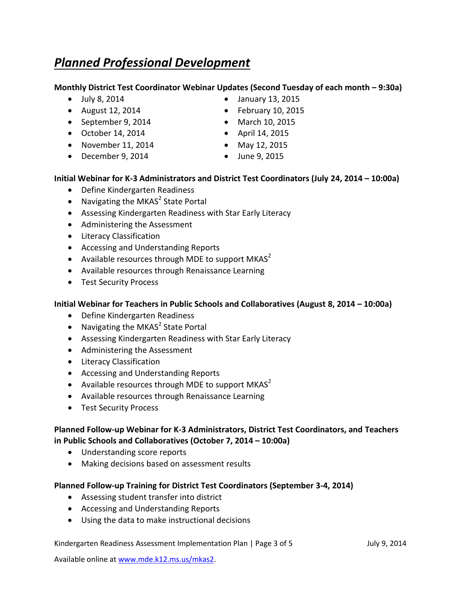### *Planned Professional Development*

#### **Monthly District Test Coordinator Webinar Updates (Second Tuesday of each month – 9:30a)**

- July 8, 2014
- August 12, 2014
- September 9, 2014
- October 14, 2014
- $\bullet$  November 11, 2014
- $\bullet$  December 9, 2014
- January 13, 2015
- $\bullet$  February 10, 2015
- March 10, 2015
- April 14, 2015
- May 12, 2015
	- June 9, 2015

#### **Initial Webinar for K-3 Administrators and District Test Coordinators (July 24, 2014 – 10:00a)**

- Define Kindergarten Readiness
- Navigating the MKAS<sup>2</sup> State Portal
- Assessing Kindergarten Readiness with Star Early Literacy
- Administering the Assessment
- **•** Literacy Classification
- Accessing and Understanding Reports
- Available resources through MDE to support MKAS<sup>2</sup>
- Available resources through Renaissance Learning
- Test Security Process

#### **Initial Webinar for Teachers in Public Schools and Collaboratives (August 8, 2014 – 10:00a)**

- Define Kindergarten Readiness
- Navigating the MKAS<sup>2</sup> State Portal
- Assessing Kindergarten Readiness with Star Early Literacy
- Administering the Assessment
- **•** Literacy Classification
- Accessing and Understanding Reports
- Available resources through MDE to support MKAS<sup>2</sup>
- Available resources through Renaissance Learning
- Test Security Process

#### **Planned Follow-up Webinar for K-3 Administrators, District Test Coordinators, and Teachers in Public Schools and Collaboratives (October 7, 2014 – 10:00a)**

- Understanding score reports
- Making decisions based on assessment results

#### **Planned Follow-up Training for District Test Coordinators (September 3-4, 2014)**

- Assessing student transfer into district
- Accessing and Understanding Reports
- Using the data to make instructional decisions

#### Kindergarten Readiness Assessment Implementation Plan | Page 3 of 5 July 9, 2014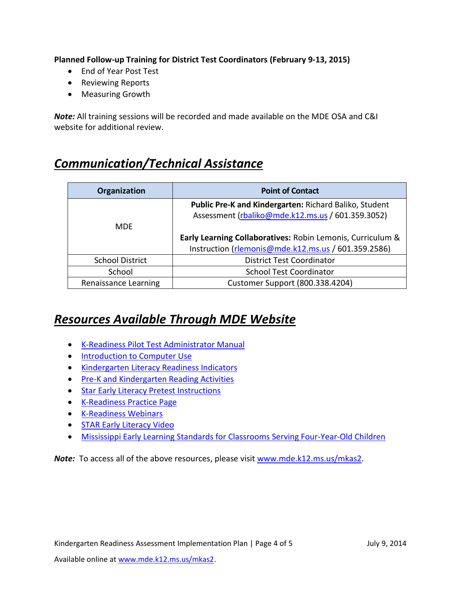**Planned Follow-up Training for District Test Coordinators (February 9-13, 2015)**

- End of Year Post Test
- Reviewing Reports
- Measuring Growth

*Note:* All training sessions will be recorded and made available on the MDE OSA and C&I website for additional review.

### *Communication/Technical Assistance*

| Organization           | <b>Point of Contact</b>                                    |
|------------------------|------------------------------------------------------------|
|                        | Public Pre-K and Kindergarten: Richard Baliko, Student     |
|                        | Assessment (rbaliko@mde.k12.ms.us / 601.359.3052)          |
| <b>MDF</b>             |                                                            |
|                        | Early Learning Collaboratives: Robin Lemonis, Curriculum & |
|                        | Instruction (rlemonis@mde.k12.ms.us / 601.359.2586)        |
| <b>School District</b> | <b>District Test Coordinator</b>                           |
| School                 | <b>School Test Coordinator</b>                             |
| Renaissance Learning   | Customer Support (800.338.4204)                            |

### *Resources Available Through MDE Website*

- [K-Readiness Pilot Test Administrator Manual](http://www.mde.k12.ms.us/docs/student-assessment/k-readiness-pilot-test-administrator-manual.pdf?sfvrsn=0)
- **[Introduction to Computer Use](http://www.mde.k12.ms.us/docs/student-assessment/introduction-to-computer-use.pdf?sfvrsn=0)**
- **[Kindergarten Literacy Readiness Indicators](http://www.mde.k12.ms.us/docs/student-assessment/kindergarten-literacy-readiness-indicators.pdf?sfvrsn=0)**
- **[Pre-K and Kindergarten Reading Activities](http://www.mde.k12.ms.us/docs/student-assessment/pre-k-and-kindergarten-reading-activities.pdf?sfvrsn=0)**
- **[Star Early Literacy Pretest Instructions](http://www.mde.k12.ms.us/docs/human-resources-library/star-early-literacy-pretest-instructions.pdf?sfvrsn=0)**
- [K-Readiness Practice Page](http://www.renlearn.com/lp/mde/)
- [K-Readiness Webinars](https://districtaccess.mde.k12.ms.us/studentassessment/Public%20Access/Forms/AllItems.aspx?RootFolder=%252Fstudentassessment%252FPublic%20Access%252FStatewide_Assessment_Programs%252F-MKAS2%252FComponent-2-Webinars)
- **[STAR Early Literacy Video](http://mdestream.mde.k12.ms.us/sa/general/STAR.early.lit.mp4)**
- [Mississippi Early Learning Standards for Classrooms Serving Four-Year-Old Children](https://districtaccess.mde.k12.ms.us/curriculumandInstruction/EarlyChildhood/4-year-old-standards.pdf)

**Note:** To access all of the above resources, please visit [www.mde.k12.ms.us/mkas2.](http://www.mde.k12.ms.us/mkas2)